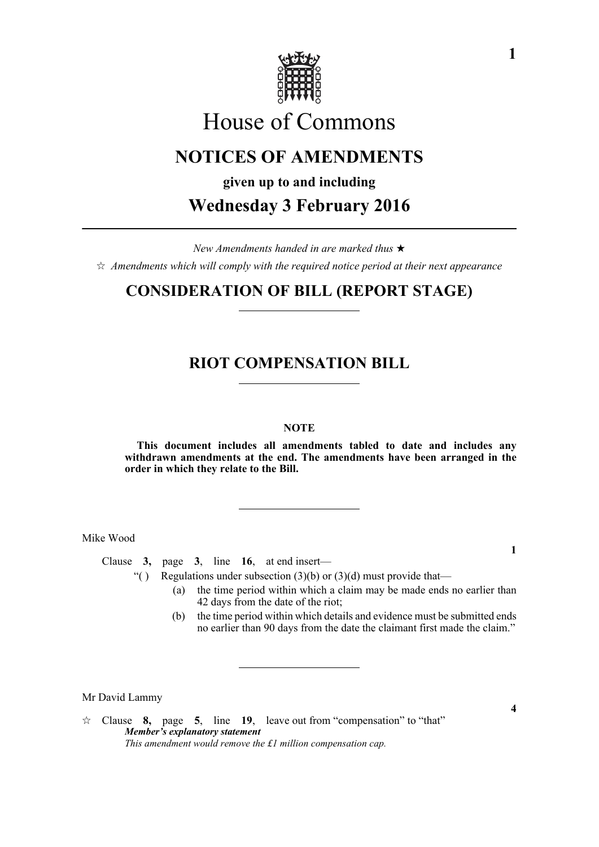

# House of Commons

### **NOTICES OF AMENDMENTS**

**given up to and including**

**Wednesday 3 February 2016**

*New Amendments handed in are marked thus*   $\hat{\varphi}$  Amendments which will comply with the required notice period at their next appearance

### **CONSIDERATION OF BILL (REPORT STAGE)**

### **RIOT COMPENSATION BILL**

#### **NOTE**

**This document includes all amendments tabled to date and includes any withdrawn amendments at the end. The amendments have been arranged in the order in which they relate to the Bill.**

Mike Wood

Clause **3,** page **3**, line **16**, at end insert—

"( ) Regulations under subsection  $(3)(b)$  or  $(3)(d)$  must provide that—

- (a) the time period within which a claim may be made ends no earlier than 42 days from the date of the riot;
- (b) the time period within which details and evidence must be submitted ends no earlier than 90 days from the date the claimant first made the claim."

Mr David Lammy

**1**

Clause **8,** page **5**, line **19**, leave out from "compensation" to "that" *Member's explanatory statement This amendment would remove the £1 million compensation cap.*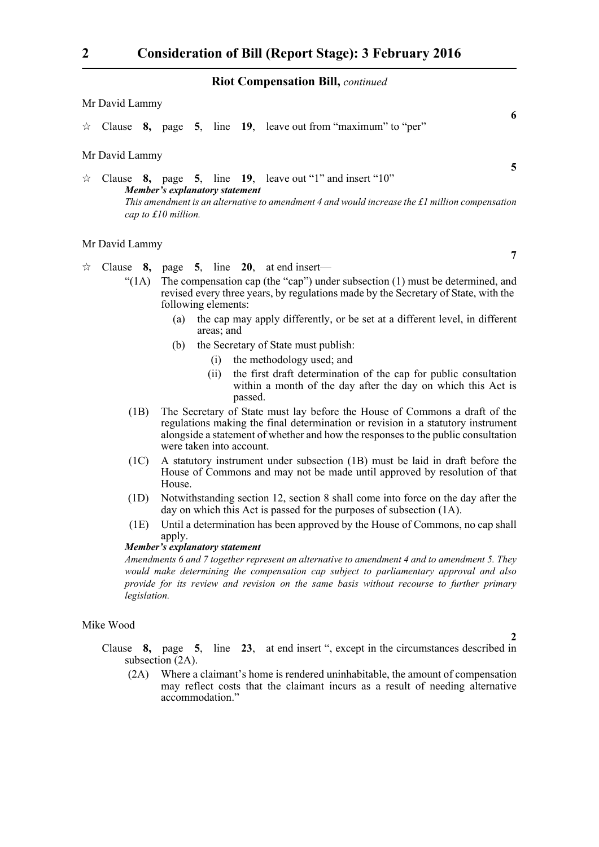#### **Riot Compensation Bill,** *continued*

| Mr David Lammy |                                                                                                                                                                                                                                                |  |  |  |  |  |                                                                      |   |
|----------------|------------------------------------------------------------------------------------------------------------------------------------------------------------------------------------------------------------------------------------------------|--|--|--|--|--|----------------------------------------------------------------------|---|
|                |                                                                                                                                                                                                                                                |  |  |  |  |  | $\star$ Clause 8, page 5, line 19, leave out from "maximum" to "per" | 6 |
|                | Mr David Lammy                                                                                                                                                                                                                                 |  |  |  |  |  |                                                                      |   |
| ☆              | Clause $8$ , page $5$ , line $19$ , leave out "1" and insert "10"<br>Member's explanatory statement<br>This amendment is an alternative to amendment 4 and would increase the $\pounds$ l million compensation<br>cap to $\pounds 10$ million. |  |  |  |  |  |                                                                      |   |
|                | Mr David Lammy                                                                                                                                                                                                                                 |  |  |  |  |  |                                                                      |   |

## $\forall$  Clause **8**, page **5**, line **20**, at end insert—

- "(1A) The compensation cap (the "cap") under subsection (1) must be determined, and revised every three years, by regulations made by the Secretary of State, with the following elements:
	- (a) the cap may apply differently, or be set at a different level, in different areas; and
	- (b) the Secretary of State must publish:
		- (i) the methodology used; and
		- (ii) the first draft determination of the cap for public consultation within a month of the day after the day on which this Act is passed.
- (1B) The Secretary of State must lay before the House of Commons a draft of the regulations making the final determination or revision in a statutory instrument alongside a statement of whether and how the responses to the public consultation were taken into account.
- (1C) A statutory instrument under subsection (1B) must be laid in draft before the House of Commons and may not be made until approved by resolution of that House.
- (1D) Notwithstanding section 12, section 8 shall come into force on the day after the day on which this Act is passed for the purposes of subsection (1A).
- (1E) Until a determination has been approved by the House of Commons, no cap shall apply

#### *Member's explanatory statement*

*Amendments 6 and 7 together represent an alternative to amendment 4 and to amendment 5. They would make determining the compensation cap subject to parliamentary approval and also provide for its review and revision on the same basis without recourse to further primary legislation.*

#### Mike Wood

Clause **8,** page **5**, line **23**, at end insert ", except in the circumstances described in subsection (2A).

(2A) Where a claimant's home is rendered uninhabitable, the amount of compensation may reflect costs that the claimant incurs as a result of needing alternative accommodation."

**5**

**7**

**6**

**2**